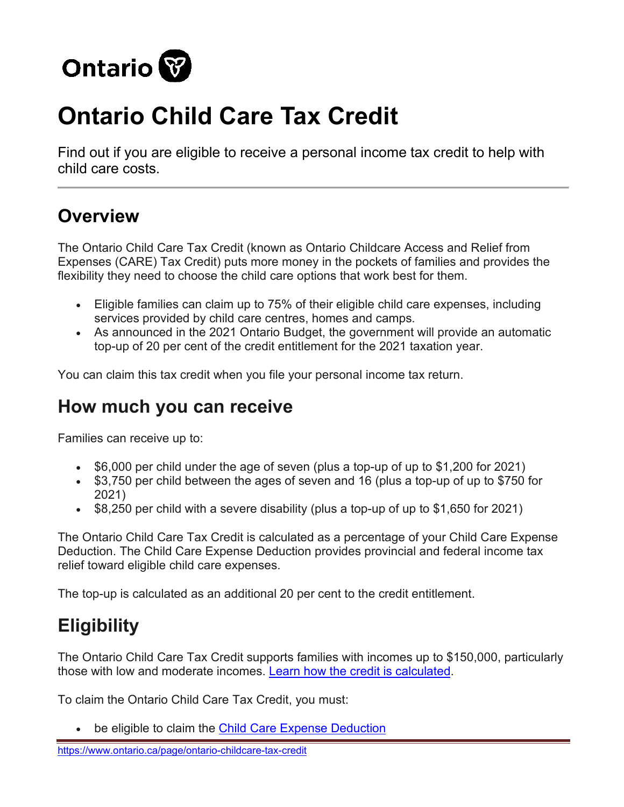

# **Ontario Child Care Tax Credit**

Find out if you are eligible to receive a personal income tax credit to help with child care costs.

# **Overview**

The Ontario Child Care Tax Credit (known as Ontario Childcare Access and Relief from Expenses (CARE) Tax Credit) puts more money in the pockets of families and provides the flexibility they need to choose the child care options that work best for them.

- Eligible families can claim up to 75% of their eligible child care expenses, including services provided by child care centres, homes and camps.
- As announced in the 2021 Ontario Budget, the government will provide an automatic top-up of 20 per cent of the credit entitlement for the 2021 taxation year.

You can claim this tax credit when you file your personal income tax return.

#### **How much you can receive**

Families can receive up to:

- \$6,000 per child under the age of seven (plus a top-up of up to \$1,200 for 2021)
- \$3,750 per child between the ages of seven and 16 (plus a top-up of up to \$750 for 2021)
- \$8,250 per child with a severe disability (plus a top-up of up to \$1,650 for 2021)

The Ontario Child Care Tax Credit is calculated as a percentage of your Child Care Expense Deduction. The Child Care Expense Deduction provides provincial and federal income tax relief toward eligible child care expenses.

The top-up is calculated as an additional 20 per cent to the credit entitlement.

# **Eligibility**

The Ontario Child Care Tax Credit supports families with incomes up to \$150,000, particularly those with low and moderate incomes. Learn [how the credit is calculated.](https://www.ontario.ca/page/ontario-child-care-tax-credit?_ga=2.24268537.276758578.1643134474-138340808.1559313121#section-4)

To claim the Ontario Child Care Tax Credit, you must:

• be eligible to claim the [Child Care Expense Deduction](https://www.canada.ca/en/revenue-agency/services/tax/technical-information/income-tax/income-tax-folios-index/series-1-individuals/folio-3-family-unit-issues/income-tax-folio-s1-f3-c1-child-care-expense-deduction.html)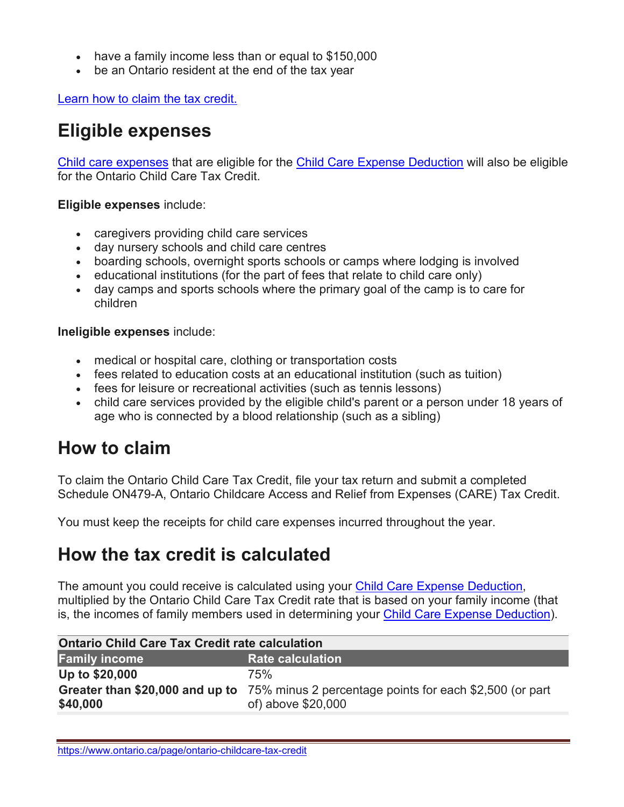- have a family income less than or equal to \$150,000
- be an Ontario resident at the end of the tax year

[Learn how to claim the tax credit.](https://www.ontario.ca/page/ontario-child-care-tax-credit?_ga=2.24268537.276758578.1643134474-138340808.1559313121#section-4)

## **Eligible expenses**

[Child care expenses](https://www.canada.ca/en/revenue-agency/services/tax/individuals/topics/about-your-tax-return/tax-return/completing-a-tax-return/deductions-credits-expenses/line-214-child-care-expenses/line-214-what-child-care-expenses.html) that are eligible for the [Child Care Expense Deduction](https://www.canada.ca/en/revenue-agency/services/tax/technical-information/income-tax/income-tax-folios-index/series-1-individuals/folio-3-family-unit-issues/income-tax-folio-s1-f3-c1-child-care-expense-deduction.html) will also be eligible for the Ontario Child Care Tax Credit.

**Eligible expenses** include:

- caregivers providing child care services
- day nursery schools and child care centres
- boarding schools, overnight sports schools or camps where lodging is involved
- educational institutions (for the part of fees that relate to child care only)
- day camps and sports schools where the primary goal of the camp is to care for children

**Ineligible expenses** include:

- medical or hospital care, clothing or transportation costs
- fees related to education costs at an educational institution (such as tuition)
- fees for leisure or recreational activities (such as tennis lessons)
- child care services provided by the eligible child's parent or a person under 18 years of age who is connected by a blood relationship (such as a sibling)

#### **How to claim**

To claim the Ontario Child Care Tax Credit, file your tax return and submit a completed Schedule ON479-A, Ontario Childcare Access and Relief from Expenses (CARE) Tax Credit.

You must keep the receipts for child care expenses incurred throughout the year.

#### **How the tax credit is calculated**

The amount you could receive is calculated using your [Child Care Expense Deduction,](https://www.canada.ca/en/revenue-agency/services/tax/technical-information/income-tax/income-tax-folios-index/series-1-individuals/folio-3-family-unit-issues/income-tax-folio-s1-f3-c1-child-care-expense-deduction.html) multiplied by the Ontario Child Care Tax Credit rate that is based on your family income (that is, the incomes of family members used in determining your [Child Care Expense Deduction\)](https://www.canada.ca/en/revenue-agency/services/tax/technical-information/income-tax/income-tax-folios-index/series-1-individuals/folio-3-family-unit-issues/income-tax-folio-s1-f3-c1-child-care-expense-deduction.html).

| <b>Ontario Child Care Tax Credit rate calculation</b> |                                                                                                               |
|-------------------------------------------------------|---------------------------------------------------------------------------------------------------------------|
| <b>Family income</b>                                  | <b>Rate calculation</b>                                                                                       |
| Up to \$20,000                                        | 75%                                                                                                           |
| \$40,000                                              | Greater than \$20,000 and up to 75% minus 2 percentage points for each \$2,500 (or part<br>of) above \$20,000 |